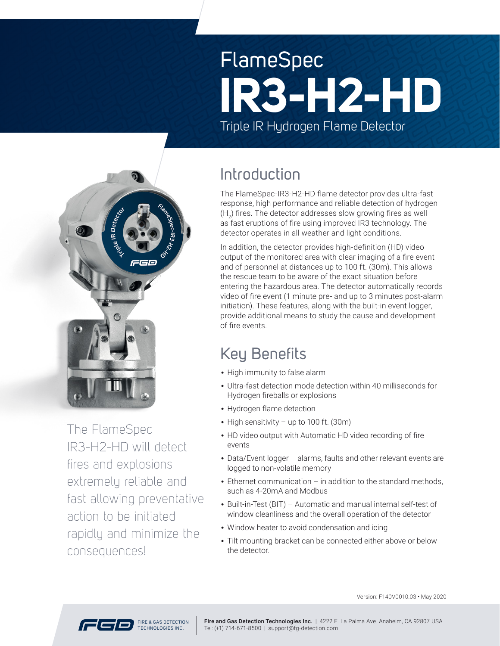# FlameSpec Triple IR Hydrogen Flame Detector **IR3-H2-HD**



The FlameSpec IR3-H2-HD will detect fires and explosions extremely reliable and fast allowing preventative action to be initiated rapidly and minimize the consequences!

### Introduction

The FlameSpec-IR3-H2-HD flame detector provides ultra-fast response, high performance and reliable detection of hydrogen  $({\mathsf{H}}_2)$  fires. The detector addresses slow growing fires as well as fast eruptions of fire using improved IR3 technology. The detector operates in all weather and light conditions.

In addition, the detector provides high-definition (HD) video output of the monitored area with clear imaging of a fire event and of personnel at distances up to 100 ft. (30m). This allows the rescue team to be aware of the exact situation before entering the hazardous area. The detector automatically records video of fire event (1 minute pre- and up to 3 minutes post-alarm initiation). These features, along with the built-in event logger, provide additional means to study the cause and development of fire events.

## Key Benefits

- High immunity to false alarm
- Ultra-fast detection mode detection within 40 milliseconds for Hydrogen fireballs or explosions
- Hydrogen flame detection
- High sensitivity up to 100 ft. (30m)
- HD video output with Automatic HD video recording of fire events
- Data/Event logger alarms, faults and other relevant events are logged to non-volatile memory
- Ethernet communication in addition to the standard methods, such as 4-20mA and Modbus
- Built-in-Test (BIT) Automatic and manual internal self-test of window cleanliness and the overall operation of the detector
- Window heater to avoid condensation and icing
- Tilt mounting bracket can be connected either above or below the detector.



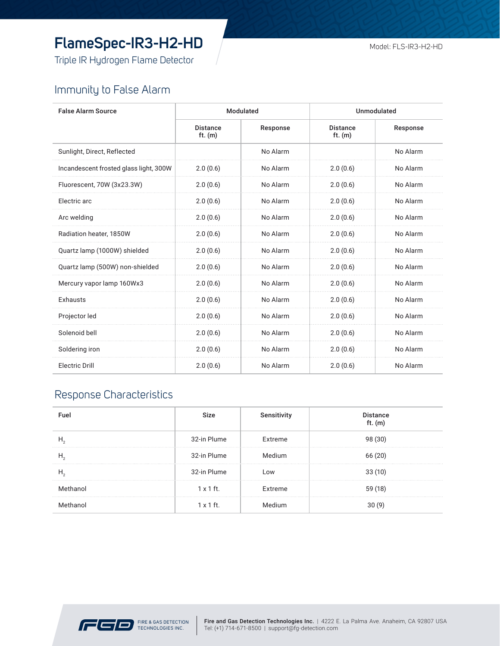### **FlameSpec-IR3-H2-HD**

Triple IR Hydrogen Flame Detector

#### Immunity to False Alarm

| <b>False Alarm Source</b>              | Modulated                    |          | Unmodulated                  |          |
|----------------------------------------|------------------------------|----------|------------------------------|----------|
|                                        | <b>Distance</b><br>ft. $(m)$ | Response | <b>Distance</b><br>ft. $(m)$ | Response |
| Sunlight, Direct, Reflected            |                              | No Alarm |                              | No Alarm |
| Incandescent frosted glass light, 300W | 2.0(0.6)                     | No Alarm | 2.0(0.6)                     | No Alarm |
| Fluorescent, 70W (3x23.3W)             | 2.0(0.6)                     | No Alarm | 2.0(0.6)                     | No Alarm |
| Electric arc                           | 2.0(0.6)                     | No Alarm | 2.0(0.6)                     | No Alarm |
| Arc welding                            | 2.0(0.6)                     | No Alarm | 2.0(0.6)                     | No Alarm |
| Radiation heater, 1850W                | 2.0(0.6)                     | No Alarm | 2.0(0.6)                     | No Alarm |
| Quartz lamp (1000W) shielded           | 2.0(0.6)                     | No Alarm | 2.0(0.6)                     | No Alarm |
| Quartz lamp (500W) non-shielded        | 2.0(0.6)                     | No Alarm | 2.0(0.6)                     | No Alarm |
| Mercury vapor lamp 160Wx3              | 2.0(0.6)                     | No Alarm | 2.0(0.6)                     | No Alarm |
| <b>Exhausts</b>                        | 2.0(0.6)                     | No Alarm | 2.0(0.6)                     | No Alarm |
| Projector led                          | 2.0(0.6)                     | No Alarm | 2.0(0.6)                     | No Alarm |
| Solenoid bell                          | 2.0(0.6)                     | No Alarm | 2.0(0.6)                     | No Alarm |
| Soldering iron                         | 2.0(0.6)                     | No Alarm | 2.0(0.6)                     | No Alarm |
| <b>Electric Drill</b>                  | 2.0(0.6)                     | No Alarm | 2.0(0.6)                     | No Alarm |

#### Response Characteristics

| <b>Fue</b> | Size             | Sensitivity | <b>Distance</b><br>ft. $(m)$ |
|------------|------------------|-------------|------------------------------|
|            | 32-in Plume      | Extreme     | 98 (30)                      |
|            | 32-in Plume      |             | 66 (20)                      |
|            | 32-in Plume      | <b>OW</b>   | 33(10)                       |
| Methanol   | $1 \times 1$ ft. | Extreme     | 59 (18)                      |
| Methanol   | $1 \times 1$ ft. |             |                              |